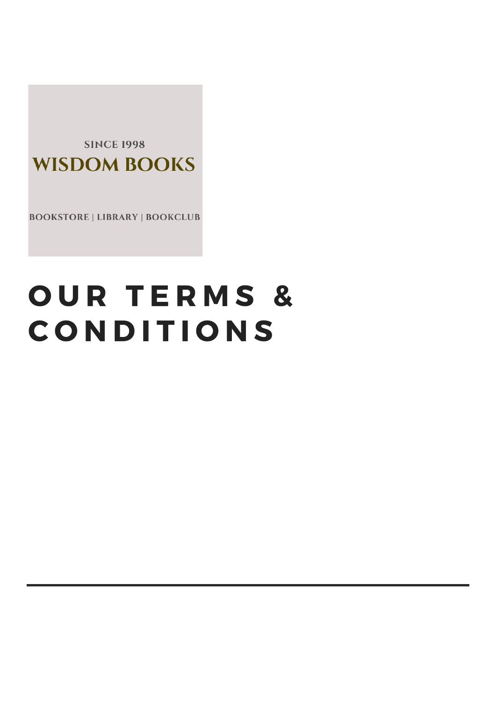**SINCE 1998 WISDOM BOOKS** 

**BOOKSTORE | LIBRARY | BOOKCLUB** 

# OUR TERMS & **CONDITIONS**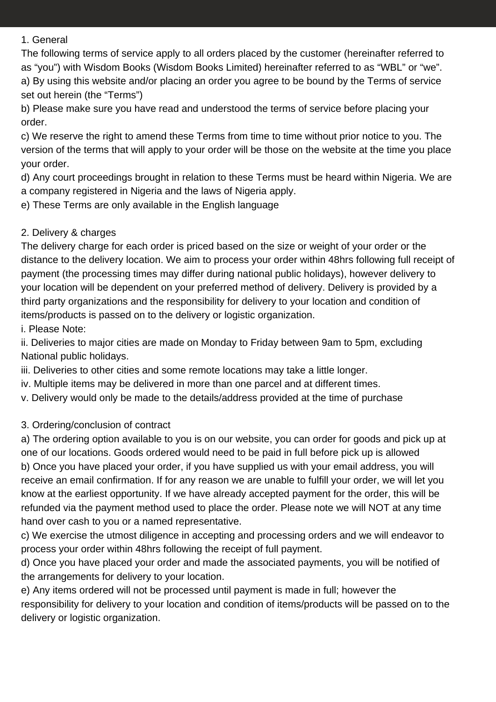#### 1. General

The following terms of service apply to all orders placed by the customer (hereinafter referred to as "you") with Wisdom Books (Wisdom Books Limited) hereinafter referred to as "WBL" or "we". a) By using this website and/or placing an order you agree to be bound by the Terms of service set out herein (the "Terms")

b) Please make sure you have read and understood the terms of service before placing your order.

c) We reserve the right to amend these Terms from time to time without prior notice to you. The version of the terms that will apply to your order will be those on the website at the time you place your order.

d) Any court proceedings brought in relation to these Terms must be heard within Nigeria. We are a company registered in Nigeria and the laws of Nigeria apply.

e) These Terms are only available in the English language

## 2. Delivery & charges

The delivery charge for each order is priced based on the size or weight of your order or the distance to the delivery location. We aim to process your order within 48hrs following full receipt of payment (the processing times may differ during national public holidays), however delivery to your location will be dependent on your preferred method of delivery. Delivery is provided by a third party organizations and the responsibility for delivery to your location and condition of items/products is passed on to the delivery or logistic organization.

i. Please Note:

ii. Deliveries to major cities are made on Monday to Friday between 9am to 5pm, excluding National public holidays.

iii. Deliveries to other cities and some remote locations may take a little longer.

iv. Multiple items may be delivered in more than one parcel and at different times.

v. Delivery would only be made to the details/address provided at the time of purchase

## 3. Ordering/conclusion of contract

a) The ordering option available to you is on our website, you can order for goods and pick up at one of our locations. Goods ordered would need to be paid in full before pick up is allowed b) Once you have placed your order, if you have supplied us with your email address, you will receive an email confirmation. If for any reason we are unable to fulfill your order, we will let you know at the earliest opportunity. If we have already accepted payment for the order, this will be refunded via the payment method used to place the order. Please note we will NOT at any time hand over cash to you or a named representative.

c) We exercise the utmost diligence in accepting and processing orders and we will endeavor to process your order within 48hrs following the receipt of full payment.

d) Once you have placed your order and made the associated payments, you will be notified of the arrangements for delivery to your location.

e) Any items ordered will not be processed until payment is made in full; however the responsibility for delivery to your location and condition of items/products will be passed on to the delivery or logistic organization.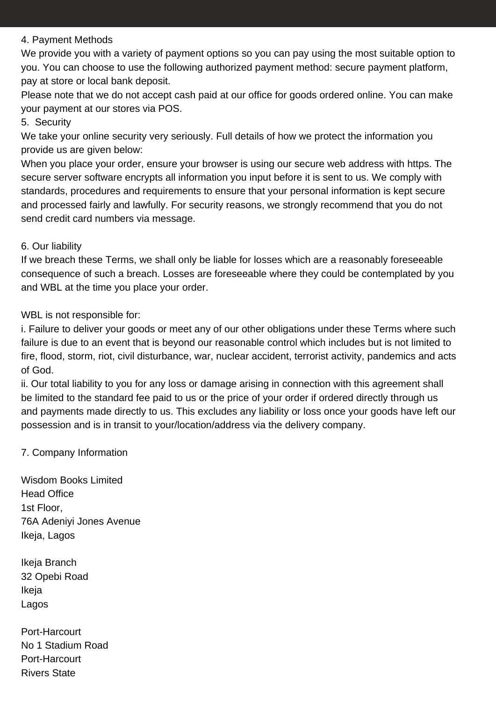#### 4. Payment Methods

We provide you with a variety of payment options so you can pay using the most suitable option to you. You can choose to use the following authorized payment method: secure payment platform, pay at store or local bank deposit.

Please note that we do not accept cash paid at our office for goods ordered online. You can make your payment at our stores via POS.

### 5. Security

We take your online security very seriously. Full details of how we protect the information you provide us are given below:

When you place your order, ensure your browser is using our secure web address with https. The secure server software encrypts all information you input before it is sent to us. We comply with standards, procedures and requirements to ensure that your personal information is kept secure and processed fairly and lawfully. For security reasons, we strongly recommend that you do not send credit card numbers via message.

### 6. Our liability

If we breach these Terms, we shall only be liable for losses which are a reasonably foreseeable consequence of such a breach. Losses are foreseeable where they could be contemplated by you and WBL at the time you place your order.

WBL is not responsible for:

i. Failure to deliver your goods or meet any of our other obligations under these Terms where such failure is due to an event that is beyond our reasonable control which includes but is not limited to fire, flood, storm, riot, civil disturbance, war, nuclear accident, terrorist activity, pandemics and acts of God.

ii. Our total liability to you for any loss or damage arising in connection with this agreement shall be limited to the standard fee paid to us or the price of your order if ordered directly through us and payments made directly to us. This excludes any liability or loss once your goods have left our possession and is in transit to your/location/address via the delivery company.

## 7. Company Information

Wisdom Books Limited Head Office 1st Floor, 76A Adeniyi Jones Avenue Ikeja, Lagos

Ikeja Branch 32 Opebi Road Ikeja Lagos

Port-Harcourt No 1 Stadium Road Port-Harcourt Rivers State